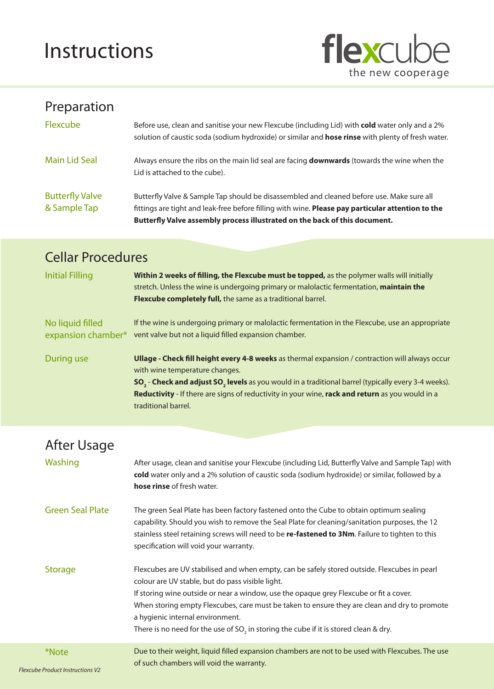## Instructions



## Preparation

| Flexcube                               | Before use, clean and sanitise your new Flexcube (including Lid) with cold water only and a 2%<br>solution of caustic soda (sodium hydroxide) or similar and hose rinse with plenty of fresh water.                                                                          |
|----------------------------------------|------------------------------------------------------------------------------------------------------------------------------------------------------------------------------------------------------------------------------------------------------------------------------|
| Main Lid Seal                          | Always ensure the ribs on the main lid seal are facing <b>downwards</b> (towards the wine when the<br>Lid is attached to the cube).                                                                                                                                          |
| <b>Butterfly Valve</b><br>& Sample Tap | Butterfly Valve & Sample Tap should be disassembled and cleaned before use. Make sure all<br>fittings are tight and leak-free before filling with wine. Please pay particular attention to the<br>Butterfly Valve assembly process illustrated on the back of this document. |

## Cellar Procedures

| <b>Initial Filling</b>                 | Within 2 weeks of filling, the Flexcube must be topped, as the polymer walls will initially<br>stretch. Unless the wine is undergoing primary or malolactic fermentation, maintain the<br>Flexcube completely full, the same as a traditional barrel.                                                                                                                                      |
|----------------------------------------|--------------------------------------------------------------------------------------------------------------------------------------------------------------------------------------------------------------------------------------------------------------------------------------------------------------------------------------------------------------------------------------------|
| No liquid filled<br>expansion chamber* | If the wine is undergoing primary or malolactic fermentation in the Flexcube, use an appropriate<br>vent valve but not a liquid filled expansion chamber.                                                                                                                                                                                                                                  |
| During use                             | Ullage - Check fill height every 4-8 weeks as thermal expansion / contraction will always occur<br>with wine temperature changes.<br>SO <sub>2</sub> - Check and adjust SO <sub>2</sub> levels as you would in a traditional barrel (typically every 3-4 weeks).<br>Reductivity - If there are signs of reductivity in your wine, rack and return as you would in a<br>traditional barrel. |

| After Usage                                      |                                                                                                                                                                                                                                                                                                                                                                                                                                                                                    |
|--------------------------------------------------|------------------------------------------------------------------------------------------------------------------------------------------------------------------------------------------------------------------------------------------------------------------------------------------------------------------------------------------------------------------------------------------------------------------------------------------------------------------------------------|
| Washing                                          | After usage, clean and sanitise your Flexcube (including Lid, Butterfly Valve and Sample Tap) with<br>cold water only and a 2% solution of caustic soda (sodium hydroxide) or similar, followed by a<br>hose rinse of fresh water.                                                                                                                                                                                                                                                 |
| <b>Green Seal Plate</b>                          | The green Seal Plate has been factory fastened onto the Cube to obtain optimum sealing<br>capability. Should you wish to remove the Seal Plate for cleaning/sanitation purposes, the 12<br>stainless steel retaining screws will need to be re-fastened to 3Nm. Failure to tighten to this<br>specification will void your warranty.                                                                                                                                               |
| <b>Storage</b>                                   | Flexcubes are UV stabilised and when empty, can be safely stored outside. Flexcubes in pearl<br>colour are UV stable, but do pass visible light.<br>If storing wine outside or near a window, use the opaque grey Flexcube or fit a cover.<br>When storing empty Flexcubes, care must be taken to ensure they are clean and dry to promote<br>a hygienic internal environment.<br>There is no need for the use of SO <sub>2</sub> in storing the cube if it is stored clean & dry. |
| *Note<br><b>Flexcube Product Instructions V2</b> | Due to their weight, liquid filled expansion chambers are not to be used with Flexcubes. The use<br>of such chambers will void the warranty.                                                                                                                                                                                                                                                                                                                                       |